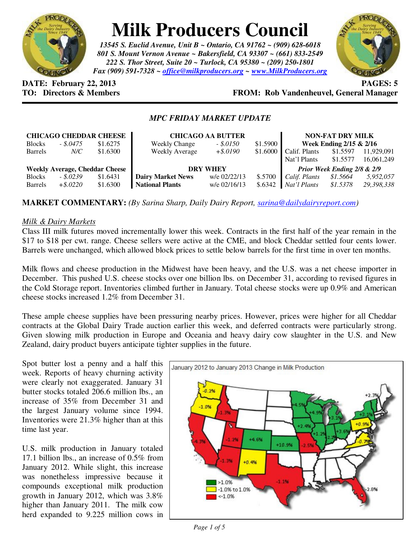

# **Milk Producers Council**

*13545 S. Euclid Avenue, Unit B ~ Ontario, CA 91762 ~ (909) 628-6018 801 S. Mount Vernon Avenue ~ Bakersfield, CA 93307 ~ (661) 833-2549 222 S. Thor Street, Suite 20 ~ Turlock, CA 95380 ~ (209) 250-1801 Fax (909) 591-7328 ~ office@milkproducers.org ~ www.MilkProducers.org*



**DATE: February 22, 2013 PAGES: 5** 

# **FROM: Rob Vandenheuvel, General Manager**

## *MPC FRIDAY MARKET UPDATE*

| <b>CHICAGO CHEDDAR CHEESE</b>         |             |          | <b>CHICAGO AA BUTTER</b> |              |          | <b>NON-FAT DRY MILK</b>     |          |            |
|---------------------------------------|-------------|----------|--------------------------|--------------|----------|-----------------------------|----------|------------|
| <b>Blocks</b>                         | $-.8.0475$  | \$1.6275 | <b>Weekly Change</b>     | $-.50150$    | \$1.5900 | Week Ending 2/15 & 2/16     |          |            |
| <b>Barrels</b>                        | N/C         | \$1.6300 | <b>Weekly Average</b>    | $+$ \$.0190  | \$1.6000 | Calif. Plants               | \$1.5597 | 11.929.091 |
|                                       |             |          |                          |              |          | Nat'l Plants                | \$1.5577 | 16.061.249 |
| <b>Weekly Average, Cheddar Cheese</b> |             |          | <b>DRY WHEY</b>          |              |          | Prior Week Ending 2/8 & 2/9 |          |            |
| <b>Blocks</b>                         | $-.5.0239$  | \$1.6431 | <b>Dairy Market News</b> | w/e 02/22/13 | \$.5700  | Calif. Plants               | \$1.5664 | 5,952,057  |
| <b>Barrels</b>                        | $+$ \$.0220 | \$1.6300 | <b>National Plants</b>   | w/e 02/16/13 | \$.6342  | Nat'l Plants                | \$1.5378 | 29,398,338 |

**MARKET COMMENTARY:** *(By Sarina Sharp, Daily Dairy Report, sarina@dailydairyreport.com)* 

#### *Milk & Dairy Markets*

Class III milk futures moved incrementally lower this week. Contracts in the first half of the year remain in the \$17 to \$18 per cwt. range. Cheese sellers were active at the CME, and block Cheddar settled four cents lower. Barrels were unchanged, which allowed block prices to settle below barrels for the first time in over ten months.

Milk flows and cheese production in the Midwest have been heavy, and the U.S. was a net cheese importer in December. This pushed U.S. cheese stocks over one billion lbs. on December 31, according to revised figures in the Cold Storage report. Inventories climbed further in January. Total cheese stocks were up 0.9% and American cheese stocks increased 1.2% from December 31.

These ample cheese supplies have been pressuring nearby prices. However, prices were higher for all Cheddar contracts at the Global Dairy Trade auction earlier this week, and deferred contracts were particularly strong. Given slowing milk production in Europe and Oceania and heavy dairy cow slaughter in the U.S. and New Zealand, dairy product buyers anticipate tighter supplies in the future.

Spot butter lost a penny and a half this week. Reports of heavy churning activity were clearly not exaggerated. January 31 butter stocks totaled 206.6 million lbs., an increase of 35% from December 31 and the largest January volume since 1994. Inventories were 21.3% higher than at this time last year.

U.S. milk production in January totaled 17.1 billion lbs., an increase of 0.5% from January 2012. While slight, this increase was nonetheless impressive because it compounds exceptional milk production growth in January 2012, which was 3.8% higher than January 2011. The milk cow herd expanded to 9.225 million cows in

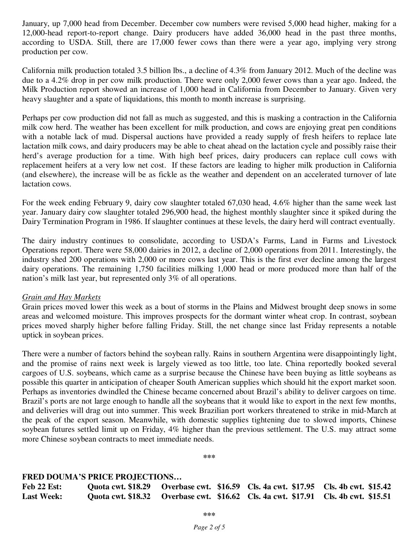January, up 7,000 head from December. December cow numbers were revised 5,000 head higher, making for a 12,000-head report-to-report change. Dairy producers have added 36,000 head in the past three months, according to USDA. Still, there are 17,000 fewer cows than there were a year ago, implying very strong production per cow.

California milk production totaled 3.5 billion lbs., a decline of 4.3% from January 2012. Much of the decline was due to a 4.2% drop in per cow milk production. There were only 2,000 fewer cows than a year ago. Indeed, the Milk Production report showed an increase of 1,000 head in California from December to January. Given very heavy slaughter and a spate of liquidations, this month to month increase is surprising.

Perhaps per cow production did not fall as much as suggested, and this is masking a contraction in the California milk cow herd. The weather has been excellent for milk production, and cows are enjoying great pen conditions with a notable lack of mud. Dispersal auctions have provided a ready supply of fresh heifers to replace late lactation milk cows, and dairy producers may be able to cheat ahead on the lactation cycle and possibly raise their herd's average production for a time. With high beef prices, dairy producers can replace cull cows with replacement heifers at a very low net cost. If these factors are leading to higher milk production in California (and elsewhere), the increase will be as fickle as the weather and dependent on an accelerated turnover of late lactation cows.

For the week ending February 9, dairy cow slaughter totaled 67,030 head, 4.6% higher than the same week last year. January dairy cow slaughter totaled 296,900 head, the highest monthly slaughter since it spiked during the Dairy Termination Program in 1986. If slaughter continues at these levels, the dairy herd will contract eventually.

The dairy industry continues to consolidate, according to USDA's Farms, Land in Farms and Livestock Operations report. There were 58,000 dairies in 2012, a decline of 2,000 operations from 2011. Interestingly, the industry shed 200 operations with 2,000 or more cows last year. This is the first ever decline among the largest dairy operations. The remaining 1,750 facilities milking 1,000 head or more produced more than half of the nation's milk last year, but represented only 3% of all operations.

#### *Grain and Hay Markets*

Grain prices moved lower this week as a bout of storms in the Plains and Midwest brought deep snows in some areas and welcomed moisture. This improves prospects for the dormant winter wheat crop. In contrast, soybean prices moved sharply higher before falling Friday. Still, the net change since last Friday represents a notable uptick in soybean prices.

There were a number of factors behind the soybean rally. Rains in southern Argentina were disappointingly light, and the promise of rains next week is largely viewed as too little, too late. China reportedly booked several cargoes of U.S. soybeans, which came as a surprise because the Chinese have been buying as little soybeans as possible this quarter in anticipation of cheaper South American supplies which should hit the export market soon. Perhaps as inventories dwindled the Chinese became concerned about Brazil's ability to deliver cargoes on time. Brazil's ports are not large enough to handle all the soybeans that it would like to export in the next few months, and deliveries will drag out into summer. This week Brazilian port workers threatened to strike in mid-March at the peak of the export season. Meanwhile, with domestic supplies tightening due to slowed imports, Chinese soybean futures settled limit up on Friday, 4% higher than the previous settlement. The U.S. may attract some more Chinese soybean contracts to meet immediate needs.

**\*\*\*** 

### **FRED DOUMA'S PRICE PROJECTIONS…**

| Feb 22 Est:       |  | Quota cwt. \$18.29 Overbase cwt. \$16.59 Cls. 4a cwt. \$17.95 Cls. 4b cwt. \$15.42 |  |
|-------------------|--|------------------------------------------------------------------------------------|--|
| <b>Last Week:</b> |  | Quota cwt. \$18.32 Overbase cwt. \$16.62 Cls. 4a cwt. \$17.91 Cls. 4b cwt. \$15.51 |  |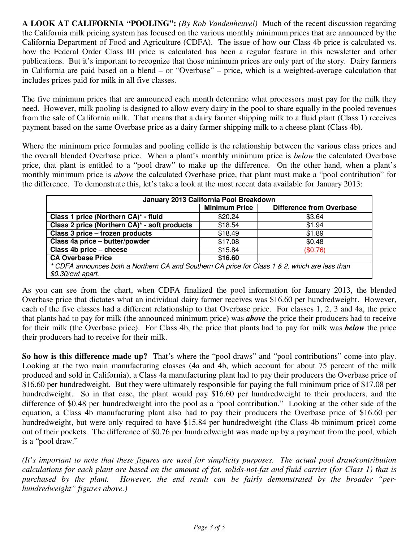**A LOOK AT CALIFORNIA "POOLING":** *(By Rob Vandenheuvel)* Much of the recent discussion regarding the California milk pricing system has focused on the various monthly minimum prices that are announced by the California Department of Food and Agriculture (CDFA). The issue of how our Class 4b price is calculated vs. how the Federal Order Class III price is calculated has been a regular feature in this newsletter and other publications. But it's important to recognize that those minimum prices are only part of the story. Dairy farmers in California are paid based on a blend – or "Overbase" – price, which is a weighted-average calculation that includes prices paid for milk in all five classes.

The five minimum prices that are announced each month determine what processors must pay for the milk they need. However, milk pooling is designed to allow every dairy in the pool to share equally in the pooled revenues from the sale of California milk. That means that a dairy farmer shipping milk to a fluid plant (Class 1) receives payment based on the same Overbase price as a dairy farmer shipping milk to a cheese plant (Class 4b).

Where the minimum price formulas and pooling collide is the relationship between the various class prices and the overall blended Overbase price. When a plant's monthly minimum price is *below* the calculated Overbase price, that plant is entitled to a "pool draw" to make up the difference. On the other hand, when a plant's monthly minimum price is *above* the calculated Overbase price, that plant must make a "pool contribution" for the difference. To demonstrate this, let's take a look at the most recent data available for January 2013:

| January 2013 California Pool Breakdown                                                         |                      |                                 |  |  |  |
|------------------------------------------------------------------------------------------------|----------------------|---------------------------------|--|--|--|
|                                                                                                | <b>Minimum Price</b> | <b>Difference from Overbase</b> |  |  |  |
| Class 1 price (Northern CA)* - fluid                                                           | \$20.24              | \$3.64                          |  |  |  |
| Class 2 price (Northern CA)* - soft products                                                   | \$18.54              | \$1.94                          |  |  |  |
| Class 3 price - frozen products                                                                | \$18.49              | \$1.89                          |  |  |  |
| Class 4a price - butter/powder                                                                 | \$17.08              | \$0.48                          |  |  |  |
| Class 4b price - cheese                                                                        | \$15.84              | (\$0.76)                        |  |  |  |
| <b>CA Overbase Price</b>                                                                       | \$16.60              |                                 |  |  |  |
| * CDFA announces both a Northern CA and Southern CA price for Class 1 & 2, which are less than |                      |                                 |  |  |  |
| \$0.30/cwt apart.                                                                              |                      |                                 |  |  |  |

As you can see from the chart, when CDFA finalized the pool information for January 2013, the blended Overbase price that dictates what an individual dairy farmer receives was \$16.60 per hundredweight. However, each of the five classes had a different relationship to that Overbase price. For classes 1, 2, 3 and 4a, the price that plants had to pay for milk (the announced minimum price) was *above* the price their producers had to receive for their milk (the Overbase price). For Class 4b, the price that plants had to pay for milk was *below* the price their producers had to receive for their milk.

**So how is this difference made up?** That's where the "pool draws" and "pool contributions" come into play. Looking at the two main manufacturing classes (4a and 4b, which account for about 75 percent of the milk produced and sold in California), a Class 4a manufacturing plant had to pay their producers the Overbase price of \$16.60 per hundredweight. But they were ultimately responsible for paying the full minimum price of \$17.08 per hundredweight. So in that case, the plant would pay \$16.60 per hundredweight to their producers, and the difference of \$0.48 per hundredweight into the pool as a "pool contribution." Looking at the other side of the equation, a Class 4b manufacturing plant also had to pay their producers the Overbase price of \$16.60 per hundredweight, but were only required to have \$15.84 per hundredweight (the Class 4b minimum price) come out of their pockets. The difference of \$0.76 per hundredweight was made up by a payment from the pool, which is a "pool draw."

*(It's important to note that these figures are used for simplicity purposes. The actual pool draw/contribution calculations for each plant are based on the amount of fat, solids-not-fat and fluid carrier (for Class 1) that is purchased by the plant. However, the end result can be fairly demonstrated by the broader "perhundredweight" figures above.)*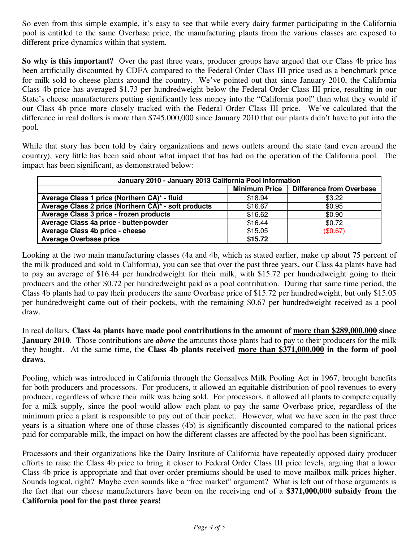So even from this simple example, it's easy to see that while every dairy farmer participating in the California pool is entitled to the same Overbase price, the manufacturing plants from the various classes are exposed to different price dynamics within that system.

**So why is this important?** Over the past three years, producer groups have argued that our Class 4b price has been artificially discounted by CDFA compared to the Federal Order Class III price used as a benchmark price for milk sold to cheese plants around the country. We've pointed out that since January 2010, the California Class 4b price has averaged \$1.73 per hundredweight below the Federal Order Class III price, resulting in our State's cheese manufacturers putting significantly less money into the "California pool" than what they would if our Class 4b price more closely tracked with the Federal Order Class III price. We've calculated that the difference in real dollars is more than \$745,000,000 since January 2010 that our plants didn't have to put into the pool.

While that story has been told by dairy organizations and news outlets around the state (and even around the country), very little has been said about what impact that has had on the operation of the California pool. The impact has been significant, as demonstrated below:

| January 2010 - January 2013 California Pool Information |                      |                                 |  |  |  |
|---------------------------------------------------------|----------------------|---------------------------------|--|--|--|
|                                                         | <b>Minimum Price</b> | <b>Difference from Overbase</b> |  |  |  |
| Average Class 1 price (Northern CA)* - fluid            | \$18.94              | \$3.22                          |  |  |  |
| Average Class 2 price (Northern CA)* - soft products    | \$16.67              | \$0.95                          |  |  |  |
| Average Class 3 price - frozen products                 | \$16.62              | \$0.90                          |  |  |  |
| Average Class 4a price - butter/powder                  | \$16.44              | \$0.72                          |  |  |  |
| Average Class 4b price - cheese                         | \$15.05              | (\$0.67)                        |  |  |  |
| <b>Average Overbase price</b>                           | \$15.72              |                                 |  |  |  |

Looking at the two main manufacturing classes (4a and 4b, which as stated earlier, make up about 75 percent of the milk produced and sold in California), you can see that over the past three years, our Class 4a plants have had to pay an average of \$16.44 per hundredweight for their milk, with \$15.72 per hundredweight going to their producers and the other \$0.72 per hundredweight paid as a pool contribution. During that same time period, the Class 4b plants had to pay their producers the same Overbase price of \$15.72 per hundredweight, but only \$15.05 per hundredweight came out of their pockets, with the remaining \$0.67 per hundredweight received as a pool draw.

In real dollars, **Class 4a plants have made pool contributions in the amount of more than \$289,000,000 since January 2010**. Those contributions are *above* the amounts those plants had to pay to their producers for the milk they bought. At the same time, the **Class 4b plants received more than \$371,000,000 in the form of pool draws**.

Pooling, which was introduced in California through the Gonsalves Milk Pooling Act in 1967, brought benefits for both producers and processors. For producers, it allowed an equitable distribution of pool revenues to every producer, regardless of where their milk was being sold. For processors, it allowed all plants to compete equally for a milk supply, since the pool would allow each plant to pay the same Overbase price, regardless of the minimum price a plant is responsible to pay out of their pocket. However, what we have seen in the past three years is a situation where one of those classes (4b) is significantly discounted compared to the national prices paid for comparable milk, the impact on how the different classes are affected by the pool has been significant.

Processors and their organizations like the Dairy Institute of California have repeatedly opposed dairy producer efforts to raise the Class 4b price to bring it closer to Federal Order Class III price levels, arguing that a lower Class 4b price is appropriate and that over-order premiums should be used to move mailbox milk prices higher. Sounds logical, right? Maybe even sounds like a "free market" argument? What is left out of those arguments is the fact that our cheese manufacturers have been on the receiving end of a **\$371,000,000 subsidy from the California pool for the past three years!**